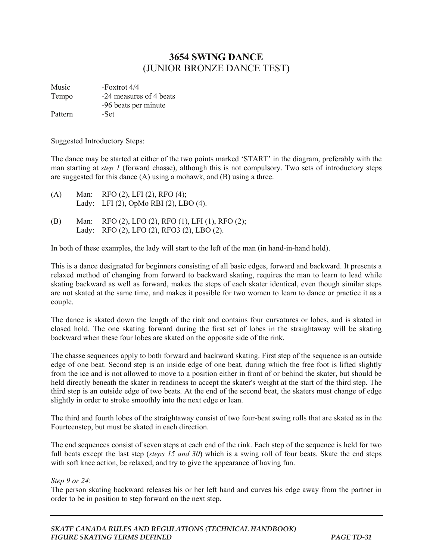## **3654 SWING DANCE**  (JUNIOR BRONZE DANCE TEST)

Music -Foxtrot 4/4 Tempo -24 measures of 4 beats -96 beats per minute Pattern -Set

Suggested Introductory Steps:

The dance may be started at either of the two points marked 'START' in the diagram, preferably with the man starting at *step 1* (forward chasse), although this is not compulsory. Two sets of introductory steps are suggested for this dance (A) using a mohawk, and (B) using a three.

- (A) Man: RFO (2), LFI (2), RFO (4); Lady: LFI (2), OpMo RBI (2), LBO (4).
- (B) Man: RFO (2), LFO (2), RFO (1), LFI (1), RFO (2); Lady: RFO (2), LFO (2), RFO3 (2), LBO (2).

In both of these examples, the lady will start to the left of the man (in hand-in-hand hold).

This is a dance designated for beginners consisting of all basic edges, forward and backward. It presents a relaxed method of changing from forward to backward skating, requires the man to learn to lead while skating backward as well as forward, makes the steps of each skater identical, even though similar steps are not skated at the same time, and makes it possible for two women to learn to dance or practice it as a couple.

The dance is skated down the length of the rink and contains four curvatures or lobes, and is skated in closed hold. The one skating forward during the first set of lobes in the straightaway will be skating backward when these four lobes are skated on the opposite side of the rink.

The chasse sequences apply to both forward and backward skating. First step of the sequence is an outside edge of one beat. Second step is an inside edge of one beat, during which the free foot is lifted slightly from the ice and is not allowed to move to a position either in front of or behind the skater, but should be held directly beneath the skater in readiness to accept the skater's weight at the start of the third step. The third step is an outside edge of two beats. At the end of the second beat, the skaters must change of edge slightly in order to stroke smoothly into the next edge or lean.

The third and fourth lobes of the straightaway consist of two four-beat swing rolls that are skated as in the Fourteenstep, but must be skated in each direction.

The end sequences consist of seven steps at each end of the rink. Each step of the sequence is held for two full beats except the last step (*steps 15 and 30*) which is a swing roll of four beats. Skate the end steps with soft knee action, be relaxed, and try to give the appearance of having fun.

*Step 9 or 24*:

The person skating backward releases his or her left hand and curves his edge away from the partner in order to be in position to step forward on the next step.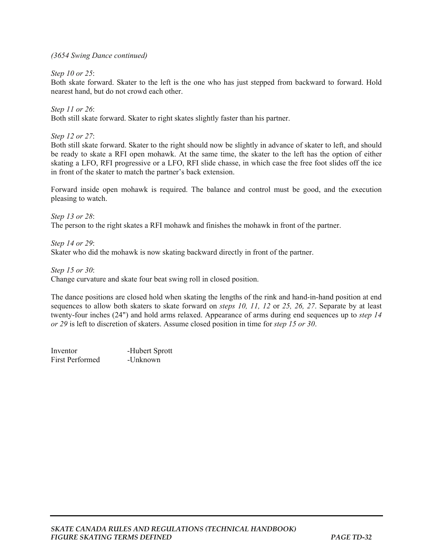## *(3654 Swing Dance continued)*

*Step 10 or 25*:

Both skate forward. Skater to the left is the one who has just stepped from backward to forward. Hold nearest hand, but do not crowd each other.

*Step 11 or 26*: Both still skate forward. Skater to right skates slightly faster than his partner.

*Step 12 or 27*:

Both still skate forward. Skater to the right should now be slightly in advance of skater to left, and should be ready to skate a RFI open mohawk. At the same time, the skater to the left has the option of either skating a LFO, RFI progressive or a LFO, RFI slide chasse, in which case the free foot slides off the ice in front of the skater to match the partner's back extension.

Forward inside open mohawk is required. The balance and control must be good, and the execution pleasing to watch.

*Step 13 or 28*: The person to the right skates a RFI mohawk and finishes the mohawk in front of the partner.

*Step 14 or 29*: Skater who did the mohawk is now skating backward directly in front of the partner.

*Step 15 or 30*:

Change curvature and skate four beat swing roll in closed position.

The dance positions are closed hold when skating the lengths of the rink and hand-in-hand position at end sequences to allow both skaters to skate forward on *steps 10, 11, 12* or *25, 26, 27*. Separate by at least twenty-four inches (24") and hold arms relaxed. Appearance of arms during end sequences up to *step 14 or 29* is left to discretion of skaters. Assume closed position in time for *step 15 or 30*.

Inventor -Hubert Sprott First Performed -Unknown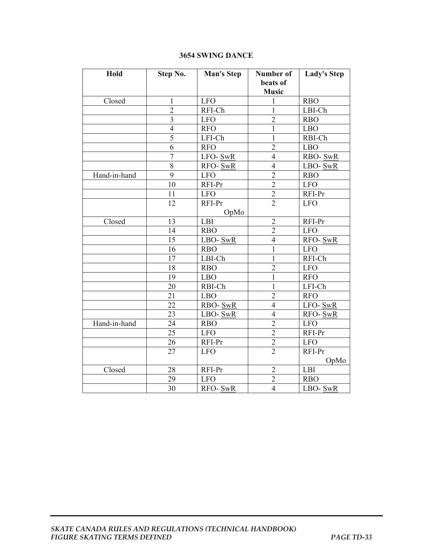## **3654 SWING DANCE**

| Hold         | Step No.       | <b>Man's Step</b> | Number of      | <b>Lady's Step</b> |
|--------------|----------------|-------------------|----------------|--------------------|
|              |                |                   | beats of       |                    |
|              |                |                   | <b>Music</b>   |                    |
| Closed       | 1              | <b>LFO</b>        | 1              | <b>RBO</b>         |
|              | $\overline{2}$ | RFI-Ch            | $\mathbf{1}$   | LBI-Ch             |
|              | 3              | <b>LFO</b>        | $\overline{2}$ | <b>RBO</b>         |
|              | $\overline{4}$ | <b>RFO</b>        | 1              | <b>LBO</b>         |
|              | 5              | LFI-Ch            | 1              | RBI-Ch             |
|              | 6              | <b>RFO</b>        | $\overline{2}$ | <b>LBO</b>         |
|              | $\overline{7}$ | LFO-SwR           | $\overline{4}$ | <b>RBO-SwR</b>     |
|              | 8              | RFO- SwR          | $\overline{4}$ | LBO-SwR            |
| Hand-in-hand | 9              | <b>LFO</b>        | $\overline{2}$ | <b>RBO</b>         |
|              | 10             | RFI-Pr            | $\overline{2}$ | <b>LFO</b>         |
|              | 11             | <b>LFO</b>        | $\overline{2}$ | RFI-Pr             |
|              | 12             | RFI-Pr            | $\overline{2}$ | <b>LFO</b>         |
|              |                | OpMo              |                |                    |
| Closed       | 13             | <b>LBI</b>        | $\overline{2}$ | RFI-Pr             |
|              | 14             | <b>RBO</b>        | $\overline{2}$ | <b>LFO</b>         |
|              | 15             | LBO-SwR           | $\overline{4}$ | RFO-SwR            |
|              | 16             | <b>RBO</b>        | 1              | <b>LFO</b>         |
|              | 17             | LBI-Ch            | $\mathbf{1}$   | RFI-Ch             |
|              | 18             | <b>RBO</b>        | $\overline{2}$ | <b>LFO</b>         |
|              | 19             | <b>LBO</b>        | 1              | <b>RFO</b>         |
|              | 20             | RBI-Ch            | 1              | LFI-Ch             |
|              | 21             | <b>LBO</b>        | $\overline{2}$ | <b>RFO</b>         |
|              | 22             | RBO-SwR           | $\overline{4}$ | LFO-SwR            |
|              | 23             | LBO-SwR           | $\overline{4}$ | RFO-SwR            |
| Hand-in-hand | 24             | <b>RBO</b>        | $\overline{2}$ | <b>LFO</b>         |
|              | 25             | <b>LFO</b>        | $\overline{2}$ | RFI-Pr             |
|              | 26             | RFI-Pr            | $\overline{2}$ | <b>LFO</b>         |
|              | 27             | <b>LFO</b>        | $\overline{2}$ | RFI-Pr             |
|              |                |                   |                | OpMo               |
| Closed       | 28             | RFI-Pr            | $\overline{2}$ | LBI                |
|              | 29             | <b>LFO</b>        | $\overline{2}$ | <b>RBO</b>         |
|              | 30             | RFO-SwR           | $\overline{4}$ | LBO-SwR            |